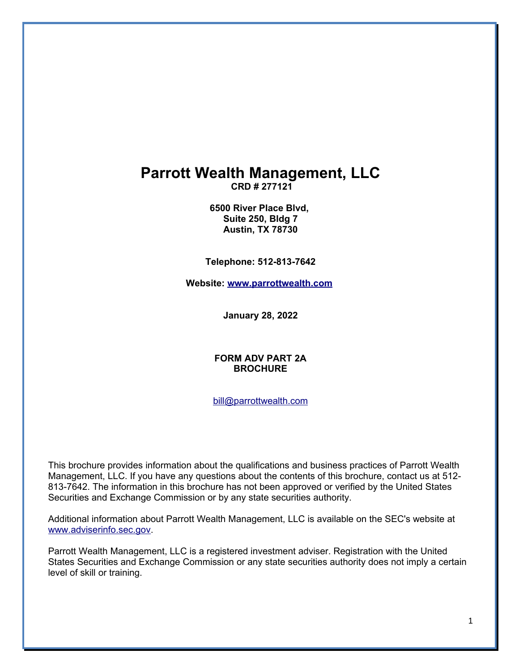# **Parrott Wealth Management, LLC**

**CRD # 277121**

**6500 River Place Blvd, Suite 250, Bldg 7 Austin, TX 78730**

**Telephone: 512-813-7642**

**Website: [www.parrottwealth.com](http://www.parrottwealth.com/)**

**January 28, 2022**

### **FORM ADV PART 2A BROCHURE**

[bill@parrottwealth.com](mailto:bill@parrottwealth.com)

This brochure provides information about the qualifications and business practices of Parrott Wealth Management, LLC. If you have any questions about the contents of this brochure, contact us at 512- 813-7642. The information in this brochure has not been approved or verified by the United States Securities and Exchange Commission or by any state securities authority.

Additional information about Parrott Wealth Management, LLC is available on the SEC's website at [www.adviserinfo.sec.gov.](http://www.adviserinfo.sec.gov/)

Parrott Wealth Management, LLC is a registered investment adviser. Registration with the United States Securities and Exchange Commission or any state securities authority does not imply a certain level of skill or training.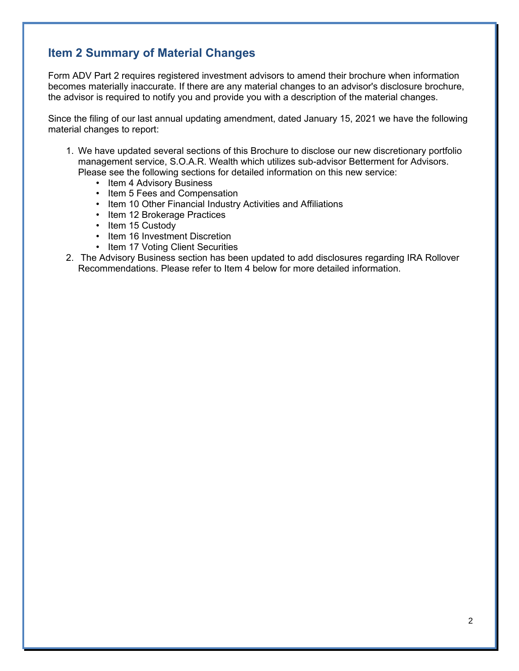# **Item 2 Summary of Material Changes**

Form ADV Part 2 requires registered investment advisors to amend their brochure when information becomes materially inaccurate. If there are any material changes to an advisor's disclosure brochure, the advisor is required to notify you and provide you with a description of the material changes.

Since the filing of our last annual updating amendment, dated January 15, 2021 we have the following material changes to report:

- 1. We have updated several sections of this Brochure to disclose our new discretionary portfolio management service, S.O.A.R. Wealth which utilizes sub-advisor Betterment for Advisors. Please see the following sections for detailed information on this new service:
	- Item 4 Advisory Business
	- Item 5 Fees and Compensation
	- Item 10 Other Financial Industry Activities and Affiliations
	- Item 12 Brokerage Practices
	- Item 15 Custody
	- Item 16 Investment Discretion
	- Item 17 Voting Client Securities
- 2. The Advisory Business section has been updated to add disclosures regarding IRA Rollover Recommendations. Please refer to Item 4 below for more detailed information.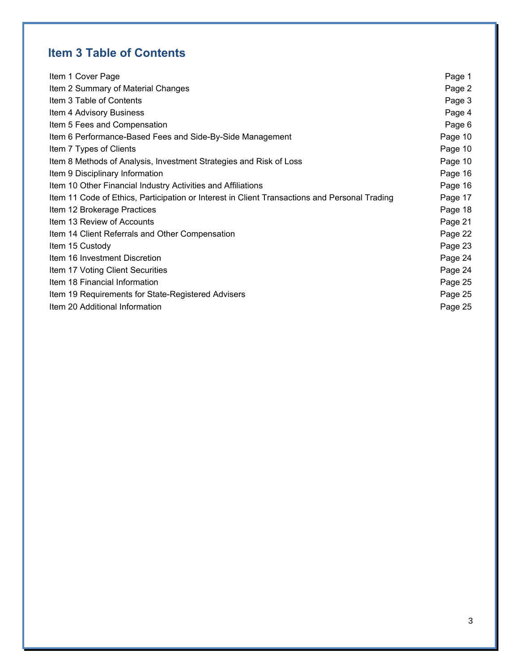# **Item 3 Table of Contents**

| Item 1 Cover Page                                                                             | Page 1  |
|-----------------------------------------------------------------------------------------------|---------|
| Item 2 Summary of Material Changes                                                            | Page 2  |
| Item 3 Table of Contents                                                                      | Page 3  |
| Item 4 Advisory Business                                                                      | Page 4  |
| Item 5 Fees and Compensation                                                                  | Page 6  |
| Item 6 Performance-Based Fees and Side-By-Side Management                                     | Page 10 |
| Item 7 Types of Clients                                                                       | Page 10 |
| Item 8 Methods of Analysis, Investment Strategies and Risk of Loss                            | Page 10 |
| Item 9 Disciplinary Information                                                               | Page 16 |
| Item 10 Other Financial Industry Activities and Affiliations                                  | Page 16 |
| Item 11 Code of Ethics, Participation or Interest in Client Transactions and Personal Trading | Page 17 |
| Item 12 Brokerage Practices                                                                   | Page 18 |
| Item 13 Review of Accounts                                                                    | Page 21 |
| Item 14 Client Referrals and Other Compensation                                               | Page 22 |
| Item 15 Custody                                                                               | Page 23 |
| Item 16 Investment Discretion                                                                 | Page 24 |
| Item 17 Voting Client Securities                                                              | Page 24 |
| Item 18 Financial Information                                                                 | Page 25 |
| Item 19 Requirements for State-Registered Advisers                                            | Page 25 |
| Item 20 Additional Information                                                                | Page 25 |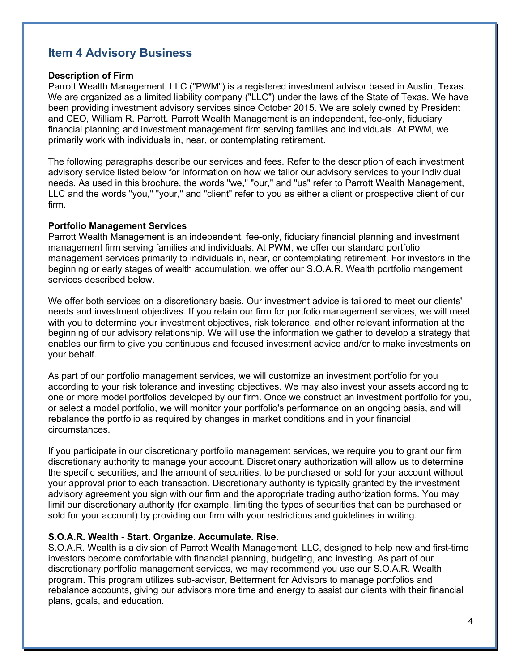# **Item 4 Advisory Business**

### **Description of Firm**

Parrott Wealth Management, LLC ("PWM") is a registered investment advisor based in Austin, Texas. We are organized as a limited liability company ("LLC") under the laws of the State of Texas. We have been providing investment advisory services since October 2015. We are solely owned by President and CEO, William R. Parrott. Parrott Wealth Management is an independent, fee-only, fiduciary financial planning and investment management firm serving families and individuals. At PWM, we primarily work with individuals in, near, or contemplating retirement.

The following paragraphs describe our services and fees. Refer to the description of each investment advisory service listed below for information on how we tailor our advisory services to your individual needs. As used in this brochure, the words "we," "our," and "us" refer to Parrott Wealth Management, LLC and the words "you," "your," and "client" refer to you as either a client or prospective client of our firm.

### **Portfolio Management Services**

Parrott Wealth Management is an independent, fee-only, fiduciary financial planning and investment management firm serving families and individuals. At PWM, we offer our standard portfolio management services primarily to individuals in, near, or contemplating retirement. For investors in the beginning or early stages of wealth accumulation, we offer our S.O.A.R. Wealth portfolio mangement services described below.

We offer both services on a discretionary basis. Our investment advice is tailored to meet our clients' needs and investment objectives. If you retain our firm for portfolio management services, we will meet with you to determine your investment objectives, risk tolerance, and other relevant information at the beginning of our advisory relationship. We will use the information we gather to develop a strategy that enables our firm to give you continuous and focused investment advice and/or to make investments on your behalf.

As part of our portfolio management services, we will customize an investment portfolio for you according to your risk tolerance and investing objectives. We may also invest your assets according to one or more model portfolios developed by our firm. Once we construct an investment portfolio for you, or select a model portfolio, we will monitor your portfolio's performance on an ongoing basis, and will rebalance the portfolio as required by changes in market conditions and in your financial circumstances.

If you participate in our discretionary portfolio management services, we require you to grant our firm discretionary authority to manage your account. Discretionary authorization will allow us to determine the specific securities, and the amount of securities, to be purchased or sold for your account without your approval prior to each transaction. Discretionary authority is typically granted by the investment advisory agreement you sign with our firm and the appropriate trading authorization forms. You may limit our discretionary authority (for example, limiting the types of securities that can be purchased or sold for your account) by providing our firm with your restrictions and guidelines in writing.

### **S.O.A.R. Wealth - Start. Organize. Accumulate. Rise.**

S.O.A.R. Wealth is a division of Parrott Wealth Management, LLC, designed to help new and first-time investors become comfortable with financial planning, budgeting, and investing. As part of our discretionary portfolio management services, we may recommend you use our S.O.A.R. Wealth program. This program utilizes sub-advisor, Betterment for Advisors to manage portfolios and rebalance accounts, giving our advisors more time and energy to assist our clients with their financial plans, goals, and education.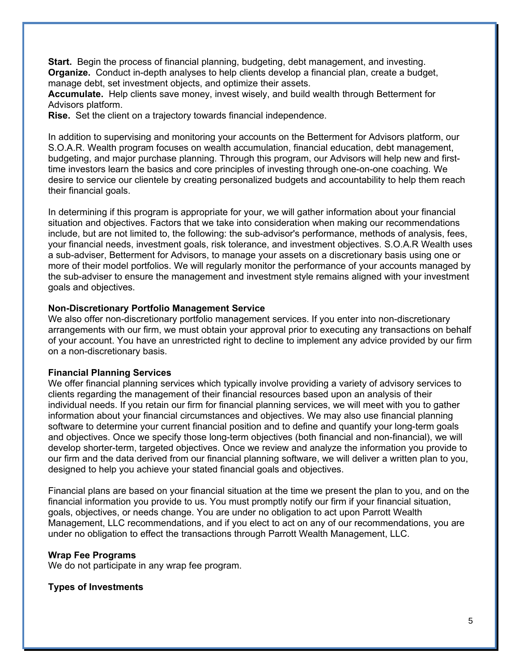**Start.** Begin the process of financial planning, budgeting, debt management, and investing. **Organize.** Conduct in-depth analyses to help clients develop a financial plan, create a budget, manage debt, set investment objects, and optimize their assets.

**Accumulate.** Help clients save money, invest wisely, and build wealth through Betterment for Advisors platform.

**Rise.** Set the client on a trajectory towards financial independence.

In addition to supervising and monitoring your accounts on the Betterment for Advisors platform, our S.O.A.R. Wealth program focuses on wealth accumulation, financial education, debt management, budgeting, and major purchase planning. Through this program, our Advisors will help new and firsttime investors learn the basics and core principles of investing through one-on-one coaching. We desire to service our clientele by creating personalized budgets and accountability to help them reach their financial goals.

In determining if this program is appropriate for your, we will gather information about your financial situation and objectives. Factors that we take into consideration when making our recommendations include, but are not limited to, the following: the sub-advisor's performance, methods of analysis, fees, your financial needs, investment goals, risk tolerance, and investment objectives. S.O.A.R Wealth uses a sub-adviser, Betterment for Advisors, to manage your assets on a discretionary basis using one or more of their model portfolios. We will regularly monitor the performance of your accounts managed by the sub-adviser to ensure the management and investment style remains aligned with your investment goals and objectives.

### **Non-Discretionary Portfolio Management Service**

We also offer non-discretionary portfolio management services. If you enter into non-discretionary arrangements with our firm, we must obtain your approval prior to executing any transactions on behalf of your account. You have an unrestricted right to decline to implement any advice provided by our firm on a non-discretionary basis.

### **Financial Planning Services**

We offer financial planning services which typically involve providing a variety of advisory services to clients regarding the management of their financial resources based upon an analysis of their individual needs. If you retain our firm for financial planning services, we will meet with you to gather information about your financial circumstances and objectives. We may also use financial planning software to determine your current financial position and to define and quantify your long-term goals and objectives. Once we specify those long-term objectives (both financial and non-financial), we will develop shorter-term, targeted objectives. Once we review and analyze the information you provide to our firm and the data derived from our financial planning software, we will deliver a written plan to you, designed to help you achieve your stated financial goals and objectives.

Financial plans are based on your financial situation at the time we present the plan to you, and on the financial information you provide to us. You must promptly notify our firm if your financial situation, goals, objectives, or needs change. You are under no obligation to act upon Parrott Wealth Management, LLC recommendations, and if you elect to act on any of our recommendations, you are under no obligation to effect the transactions through Parrott Wealth Management, LLC.

### **Wrap Fee Programs**

We do not participate in any wrap fee program.

**Types of Investments**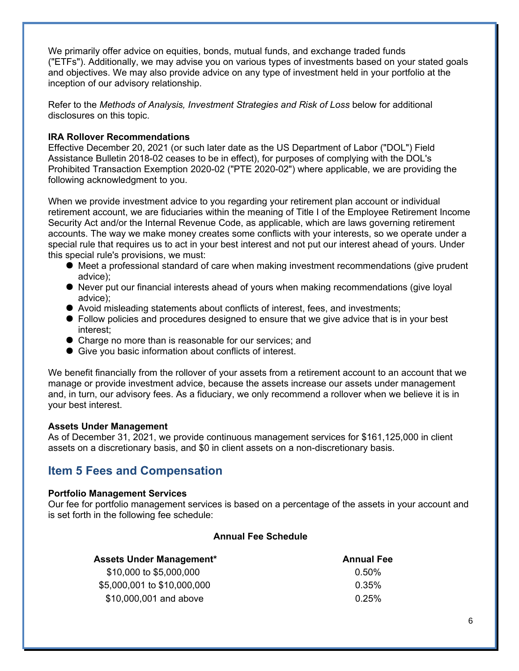We primarily offer advice on equities, bonds, mutual funds, and exchange traded funds ("ETFs"). Additionally, we may advise you on various types of investments based on your stated goals and objectives. We may also provide advice on any type of investment held in your portfolio at the inception of our advisory relationship.

Refer to the *Methods of Analysis, Investment Strategies and Risk of Loss* below for additional disclosures on this topic.

### **IRA Rollover Recommendations**

Effective December 20, 2021 (or such later date as the US Department of Labor ("DOL") Field Assistance Bulletin 2018-02 ceases to be in effect), for purposes of complying with the DOL's Prohibited Transaction Exemption 2020-02 ("PTE 2020-02") where applicable, we are providing the following acknowledgment to you.

When we provide investment advice to you regarding your retirement plan account or individual retirement account, we are fiduciaries within the meaning of Title I of the Employee Retirement Income Security Act and/or the Internal Revenue Code, as applicable, which are laws governing retirement accounts. The way we make money creates some conflicts with your interests, so we operate under a special rule that requires us to act in your best interest and not put our interest ahead of yours. Under this special rule's provisions, we must:

- Meet a professional standard of care when making investment recommendations (give prudent advice);
- Never put our financial interests ahead of yours when making recommendations (give loyal advice);
- Avoid misleading statements about conflicts of interest, fees, and investments;
- Follow policies and procedures designed to ensure that we give advice that is in your best interest;
- Charge no more than is reasonable for our services; and
- Give you basic information about conflicts of interest.

We benefit financially from the rollover of your assets from a retirement account to an account that we manage or provide investment advice, because the assets increase our assets under management and, in turn, our advisory fees. As a fiduciary, we only recommend a rollover when we believe it is in your best interest.

### **Assets Under Management**

As of December 31, 2021, we provide continuous management services for \$161,125,000 in client assets on a discretionary basis, and \$0 in client assets on a non-discretionary basis.

### **Item 5 Fees and Compensation**

### **Portfolio Management Services**

Our fee for portfolio management services is based on a percentage of the assets in your account and is set forth in the following fee schedule:

### **Annual Fee Schedule**

| <b>Assets Under Management*</b> | <b>Annual Fee</b> |
|---------------------------------|-------------------|
| \$10,000 to \$5,000,000         | $0.50\%$          |
| \$5,000,001 to \$10,000,000     | $0.35\%$          |
| \$10,000,001 and above          | 0.25%             |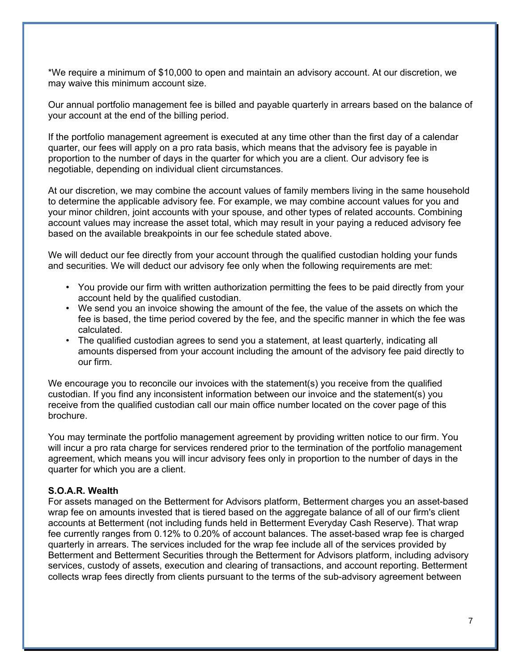\*We require a minimum of \$10,000 to open and maintain an advisory account. At our discretion, we may waive this minimum account size.

Our annual portfolio management fee is billed and payable quarterly in arrears based on the balance of your account at the end of the billing period.

If the portfolio management agreement is executed at any time other than the first day of a calendar quarter, our fees will apply on a pro rata basis, which means that the advisory fee is payable in proportion to the number of days in the quarter for which you are a client. Our advisory fee is negotiable, depending on individual client circumstances.

At our discretion, we may combine the account values of family members living in the same household to determine the applicable advisory fee. For example, we may combine account values for you and your minor children, joint accounts with your spouse, and other types of related accounts. Combining account values may increase the asset total, which may result in your paying a reduced advisory fee based on the available breakpoints in our fee schedule stated above.

We will deduct our fee directly from your account through the qualified custodian holding your funds and securities. We will deduct our advisory fee only when the following requirements are met:

- You provide our firm with written authorization permitting the fees to be paid directly from your account held by the qualified custodian.
- We send you an invoice showing the amount of the fee, the value of the assets on which the fee is based, the time period covered by the fee, and the specific manner in which the fee was calculated.
- The qualified custodian agrees to send you a statement, at least quarterly, indicating all amounts dispersed from your account including the amount of the advisory fee paid directly to our firm.

We encourage you to reconcile our invoices with the statement(s) you receive from the qualified custodian. If you find any inconsistent information between our invoice and the statement(s) you receive from the qualified custodian call our main office number located on the cover page of this brochure.

You may terminate the portfolio management agreement by providing written notice to our firm. You will incur a pro rata charge for services rendered prior to the termination of the portfolio management agreement, which means you will incur advisory fees only in proportion to the number of days in the quarter for which you are a client.

### **S.O.A.R. Wealth**

For assets managed on the Betterment for Advisors platform, Betterment charges you an asset-based wrap fee on amounts invested that is tiered based on the aggregate balance of all of our firm's client accounts at Betterment (not including funds held in Betterment Everyday Cash Reserve). That wrap fee currently ranges from 0.12% to 0.20% of account balances. The asset-based wrap fee is charged quarterly in arrears. The services included for the wrap fee include all of the services provided by Betterment and Betterment Securities through the Betterment for Advisors platform, including advisory services, custody of assets, execution and clearing of transactions, and account reporting. Betterment collects wrap fees directly from clients pursuant to the terms of the sub-advisory agreement between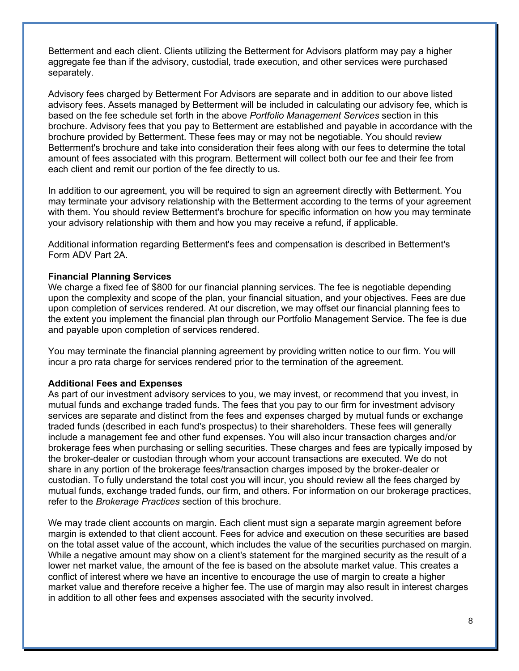Betterment and each client. Clients utilizing the Betterment for Advisors platform may pay a higher aggregate fee than if the advisory, custodial, trade execution, and other services were purchased separately.

Advisory fees charged by Betterment For Advisors are separate and in addition to our above listed advisory fees. Assets managed by Betterment will be included in calculating our advisory fee, which is based on the fee schedule set forth in the above *Portfolio Management Services* section in this brochure. Advisory fees that you pay to Betterment are established and payable in accordance with the brochure provided by Betterment. These fees may or may not be negotiable. You should review Betterment's brochure and take into consideration their fees along with our fees to determine the total amount of fees associated with this program. Betterment will collect both our fee and their fee from each client and remit our portion of the fee directly to us.

In addition to our agreement, you will be required to sign an agreement directly with Betterment. You may terminate your advisory relationship with the Betterment according to the terms of your agreement with them. You should review Betterment's brochure for specific information on how you may terminate your advisory relationship with them and how you may receive a refund, if applicable.

Additional information regarding Betterment's fees and compensation is described in Betterment's Form ADV Part 2A.

### **Financial Planning Services**

We charge a fixed fee of \$800 for our financial planning services. The fee is negotiable depending upon the complexity and scope of the plan, your financial situation, and your objectives. Fees are due upon completion of services rendered. At our discretion, we may offset our financial planning fees to the extent you implement the financial plan through our Portfolio Management Service. The fee is due and payable upon completion of services rendered.

You may terminate the financial planning agreement by providing written notice to our firm. You will incur a pro rata charge for services rendered prior to the termination of the agreement.

### **Additional Fees and Expenses**

As part of our investment advisory services to you, we may invest, or recommend that you invest, in mutual funds and exchange traded funds. The fees that you pay to our firm for investment advisory services are separate and distinct from the fees and expenses charged by mutual funds or exchange traded funds (described in each fund's prospectus) to their shareholders. These fees will generally include a management fee and other fund expenses. You will also incur transaction charges and/or brokerage fees when purchasing or selling securities. These charges and fees are typically imposed by the broker-dealer or custodian through whom your account transactions are executed. We do not share in any portion of the brokerage fees/transaction charges imposed by the broker-dealer or custodian. To fully understand the total cost you will incur, you should review all the fees charged by mutual funds, exchange traded funds, our firm, and others. For information on our brokerage practices, refer to the *Brokerage Practices* section of this brochure.

We may trade client accounts on margin. Each client must sign a separate margin agreement before margin is extended to that client account. Fees for advice and execution on these securities are based on the total asset value of the account, which includes the value of the securities purchased on margin. While a negative amount may show on a client's statement for the margined security as the result of a lower net market value, the amount of the fee is based on the absolute market value. This creates a conflict of interest where we have an incentive to encourage the use of margin to create a higher market value and therefore receive a higher fee. The use of margin may also result in interest charges in addition to all other fees and expenses associated with the security involved.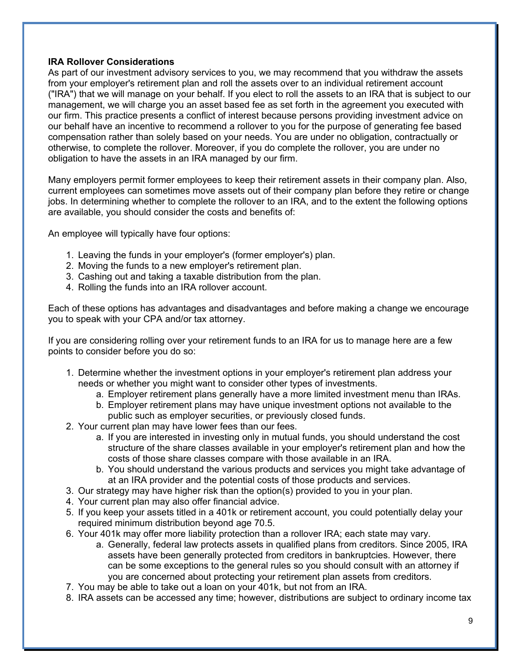### **IRA Rollover Considerations**

As part of our investment advisory services to you, we may recommend that you withdraw the assets from your employer's retirement plan and roll the assets over to an individual retirement account ("IRA") that we will manage on your behalf. If you elect to roll the assets to an IRA that is subject to our management, we will charge you an asset based fee as set forth in the agreement you executed with our firm. This practice presents a conflict of interest because persons providing investment advice on our behalf have an incentive to recommend a rollover to you for the purpose of generating fee based compensation rather than solely based on your needs. You are under no obligation, contractually or otherwise, to complete the rollover. Moreover, if you do complete the rollover, you are under no obligation to have the assets in an IRA managed by our firm.

Many employers permit former employees to keep their retirement assets in their company plan. Also, current employees can sometimes move assets out of their company plan before they retire or change jobs. In determining whether to complete the rollover to an IRA, and to the extent the following options are available, you should consider the costs and benefits of:

An employee will typically have four options:

- 1. Leaving the funds in your employer's (former employer's) plan.
- 2. Moving the funds to a new employer's retirement plan.
- 3. Cashing out and taking a taxable distribution from the plan.
- 4. Rolling the funds into an IRA rollover account.

Each of these options has advantages and disadvantages and before making a change we encourage you to speak with your CPA and/or tax attorney.

If you are considering rolling over your retirement funds to an IRA for us to manage here are a few points to consider before you do so:

- 1. Determine whether the investment options in your employer's retirement plan address your needs or whether you might want to consider other types of investments.
	- a. Employer retirement plans generally have a more limited investment menu than IRAs.
	- b. Employer retirement plans may have unique investment options not available to the public such as employer securities, or previously closed funds.
- 2. Your current plan may have lower fees than our fees.
	- a. If you are interested in investing only in mutual funds, you should understand the cost structure of the share classes available in your employer's retirement plan and how the costs of those share classes compare with those available in an IRA.
	- b. You should understand the various products and services you might take advantage of at an IRA provider and the potential costs of those products and services.
- 3. Our strategy may have higher risk than the option(s) provided to you in your plan.
- 4. Your current plan may also offer financial advice.
- 5. If you keep your assets titled in a 401k or retirement account, you could potentially delay your required minimum distribution beyond age 70.5.
- 6. Your 401k may offer more liability protection than a rollover IRA; each state may vary.
	- a. Generally, federal law protects assets in qualified plans from creditors. Since 2005, IRA assets have been generally protected from creditors in bankruptcies. However, there can be some exceptions to the general rules so you should consult with an attorney if you are concerned about protecting your retirement plan assets from creditors.
- 7. You may be able to take out a loan on your 401k, but not from an IRA.
- 8. IRA assets can be accessed any time; however, distributions are subject to ordinary income tax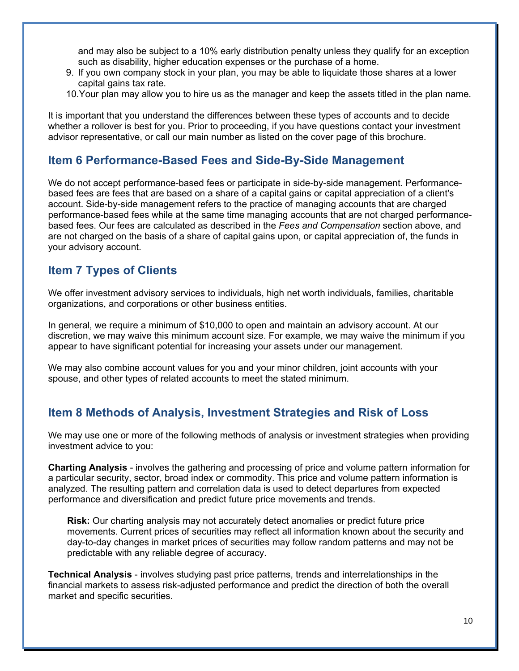and may also be subject to a 10% early distribution penalty unless they qualify for an exception such as disability, higher education expenses or the purchase of a home.

- 9. If you own company stock in your plan, you may be able to liquidate those shares at a lower capital gains tax rate.
- 10.Your plan may allow you to hire us as the manager and keep the assets titled in the plan name.

It is important that you understand the differences between these types of accounts and to decide whether a rollover is best for you. Prior to proceeding, if you have questions contact your investment advisor representative, or call our main number as listed on the cover page of this brochure.

### **Item 6 Performance-Based Fees and Side-By-Side Management**

We do not accept performance-based fees or participate in side-by-side management. Performancebased fees are fees that are based on a share of a capital gains or capital appreciation of a client's account. Side-by-side management refers to the practice of managing accounts that are charged performance-based fees while at the same time managing accounts that are not charged performancebased fees. Our fees are calculated as described in the *Fees and Compensation* section above, and are not charged on the basis of a share of capital gains upon, or capital appreciation of, the funds in your advisory account.

### **Item 7 Types of Clients**

We offer investment advisory services to individuals, high net worth individuals, families, charitable organizations, and corporations or other business entities.

In general, we require a minimum of \$10,000 to open and maintain an advisory account. At our discretion, we may waive this minimum account size. For example, we may waive the minimum if you appear to have significant potential for increasing your assets under our management.

We may also combine account values for you and your minor children, joint accounts with your spouse, and other types of related accounts to meet the stated minimum.

# **Item 8 Methods of Analysis, Investment Strategies and Risk of Loss**

We may use one or more of the following methods of analysis or investment strategies when providing investment advice to you:

**Charting Analysis** - involves the gathering and processing of price and volume pattern information for a particular security, sector, broad index or commodity. This price and volume pattern information is analyzed. The resulting pattern and correlation data is used to detect departures from expected performance and diversification and predict future price movements and trends.

**Risk:** Our charting analysis may not accurately detect anomalies or predict future price movements. Current prices of securities may reflect all information known about the security and day-to-day changes in market prices of securities may follow random patterns and may not be predictable with any reliable degree of accuracy.

**Technical Analysis** - involves studying past price patterns, trends and interrelationships in the financial markets to assess risk-adjusted performance and predict the direction of both the overall market and specific securities.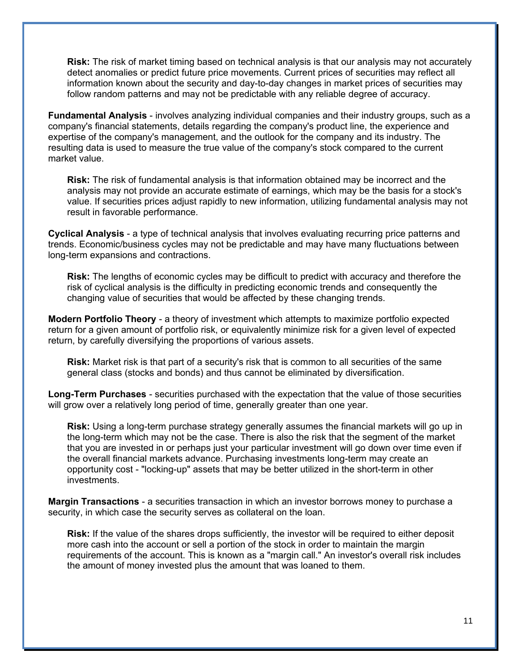**Risk:** The risk of market timing based on technical analysis is that our analysis may not accurately detect anomalies or predict future price movements. Current prices of securities may reflect all information known about the security and day-to-day changes in market prices of securities may follow random patterns and may not be predictable with any reliable degree of accuracy.

**Fundamental Analysis** - involves analyzing individual companies and their industry groups, such as a company's financial statements, details regarding the company's product line, the experience and expertise of the company's management, and the outlook for the company and its industry. The resulting data is used to measure the true value of the company's stock compared to the current market value.

**Risk:** The risk of fundamental analysis is that information obtained may be incorrect and the analysis may not provide an accurate estimate of earnings, which may be the basis for a stock's value. If securities prices adjust rapidly to new information, utilizing fundamental analysis may not result in favorable performance.

**Cyclical Analysis** - a type of technical analysis that involves evaluating recurring price patterns and trends. Economic/business cycles may not be predictable and may have many fluctuations between long-term expansions and contractions.

**Risk:** The lengths of economic cycles may be difficult to predict with accuracy and therefore the risk of cyclical analysis is the difficulty in predicting economic trends and consequently the changing value of securities that would be affected by these changing trends.

**Modern Portfolio Theory** - a theory of investment which attempts to maximize portfolio expected return for a given amount of portfolio risk, or equivalently minimize risk for a given level of expected return, by carefully diversifying the proportions of various assets.

**Risk:** Market risk is that part of a security's risk that is common to all securities of the same general class (stocks and bonds) and thus cannot be eliminated by diversification.

**Long-Term Purchases** - securities purchased with the expectation that the value of those securities will grow over a relatively long period of time, generally greater than one year.

**Risk:** Using a long-term purchase strategy generally assumes the financial markets will go up in the long-term which may not be the case. There is also the risk that the segment of the market that you are invested in or perhaps just your particular investment will go down over time even if the overall financial markets advance. Purchasing investments long-term may create an opportunity cost - "locking-up" assets that may be better utilized in the short-term in other investments.

**Margin Transactions** - a securities transaction in which an investor borrows money to purchase a security, in which case the security serves as collateral on the loan.

**Risk:** If the value of the shares drops sufficiently, the investor will be required to either deposit more cash into the account or sell a portion of the stock in order to maintain the margin requirements of the account. This is known as a "margin call." An investor's overall risk includes the amount of money invested plus the amount that was loaned to them.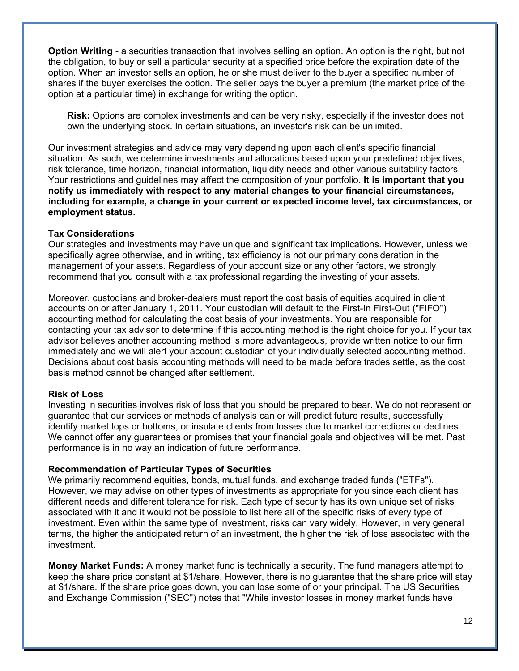**Option Writing** - a securities transaction that involves selling an option. An option is the right, but not the obligation, to buy or sell a particular security at a specified price before the expiration date of the option. When an investor sells an option, he or she must deliver to the buyer a specified number of shares if the buyer exercises the option. The seller pays the buyer a premium (the market price of the option at a particular time) in exchange for writing the option.

**Risk:** Options are complex investments and can be very risky, especially if the investor does not own the underlying stock. In certain situations, an investor's risk can be unlimited.

Our investment strategies and advice may vary depending upon each client's specific financial situation. As such, we determine investments and allocations based upon your predefined objectives, risk tolerance, time horizon, financial information, liquidity needs and other various suitability factors. Your restrictions and guidelines may affect the composition of your portfolio. **It is important that you notify us immediately with respect to any material changes to your financial circumstances, including for example, a change in your current or expected income level, tax circumstances, or employment status.**

### **Tax Considerations**

Our strategies and investments may have unique and significant tax implications. However, unless we specifically agree otherwise, and in writing, tax efficiency is not our primary consideration in the management of your assets. Regardless of your account size or any other factors, we strongly recommend that you consult with a tax professional regarding the investing of your assets.

Moreover, custodians and broker-dealers must report the cost basis of equities acquired in client accounts on or after January 1, 2011. Your custodian will default to the First-In First-Out ("FIFO") accounting method for calculating the cost basis of your investments. You are responsible for contacting your tax advisor to determine if this accounting method is the right choice for you. If your tax advisor believes another accounting method is more advantageous, provide written notice to our firm immediately and we will alert your account custodian of your individually selected accounting method. Decisions about cost basis accounting methods will need to be made before trades settle, as the cost basis method cannot be changed after settlement.

### **Risk of Loss**

Investing in securities involves risk of loss that you should be prepared to bear. We do not represent or guarantee that our services or methods of analysis can or will predict future results, successfully identify market tops or bottoms, or insulate clients from losses due to market corrections or declines. We cannot offer any guarantees or promises that your financial goals and objectives will be met. Past performance is in no way an indication of future performance.

### **Recommendation of Particular Types of Securities**

We primarily recommend equities, bonds, mutual funds, and exchange traded funds ("ETFs"). However, we may advise on other types of investments as appropriate for you since each client has different needs and different tolerance for risk. Each type of security has its own unique set of risks associated with it and it would not be possible to list here all of the specific risks of every type of investment. Even within the same type of investment, risks can vary widely. However, in very general terms, the higher the anticipated return of an investment, the higher the risk of loss associated with the investment.

**Money Market Funds:** A money market fund is technically a security. The fund managers attempt to keep the share price constant at \$1/share. However, there is no guarantee that the share price will stay at \$1/share. If the share price goes down, you can lose some of or your principal. The US Securities and Exchange Commission ("SEC") notes that "While investor losses in money market funds have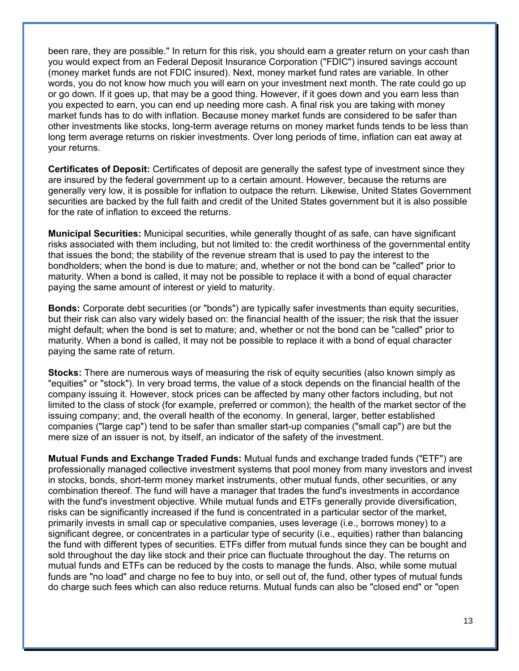been rare, they are possible." In return for this risk, you should earn a greater return on your cash than you would expect from an Federal Deposit Insurance Corporation ("FDIC") insured savings account (money market funds are not FDIC insured). Next, money market fund rates are variable. In other words, you do not know how much you will earn on your investment next month. The rate could go up or go down. If it goes up, that may be a good thing. However, if it goes down and you earn less than you expected to earn, you can end up needing more cash. A final risk you are taking with money market funds has to do with inflation. Because money market funds are considered to be safer than other investments like stocks, long-term average returns on money market funds tends to be less than long term average returns on riskier investments. Over long periods of time, inflation can eat away at your returns.

**Certificates of Deposit:** Certificates of deposit are generally the safest type of investment since they are insured by the federal government up to a certain amount. However, because the returns are generally very low, it is possible for inflation to outpace the return. Likewise, United States Government securities are backed by the full faith and credit of the United States government but it is also possible for the rate of inflation to exceed the returns.

**Municipal Securities:** Municipal securities, while generally thought of as safe, can have significant risks associated with them including, but not limited to: the credit worthiness of the governmental entity that issues the bond; the stability of the revenue stream that is used to pay the interest to the bondholders; when the bond is due to mature; and, whether or not the bond can be "called" prior to maturity. When a bond is called, it may not be possible to replace it with a bond of equal character paying the same amount of interest or yield to maturity.

**Bonds:** Corporate debt securities (or "bonds") are typically safer investments than equity securities, but their risk can also vary widely based on: the financial health of the issuer; the risk that the issuer might default; when the bond is set to mature; and, whether or not the bond can be "called" prior to maturity. When a bond is called, it may not be possible to replace it with a bond of equal character paying the same rate of return.

**Stocks:** There are numerous ways of measuring the risk of equity securities (also known simply as "equities" or "stock"). In very broad terms, the value of a stock depends on the financial health of the company issuing it. However, stock prices can be affected by many other factors including, but not limited to the class of stock (for example, preferred or common); the health of the market sector of the issuing company; and, the overall health of the economy. In general, larger, better established companies ("large cap") tend to be safer than smaller start-up companies ("small cap") are but the mere size of an issuer is not, by itself, an indicator of the safety of the investment.

**Mutual Funds and Exchange Traded Funds:** Mutual funds and exchange traded funds ("ETF") are professionally managed collective investment systems that pool money from many investors and invest in stocks, bonds, short-term money market instruments, other mutual funds, other securities, or any combination thereof. The fund will have a manager that trades the fund's investments in accordance with the fund's investment objective. While mutual funds and ETFs generally provide diversification, risks can be significantly increased if the fund is concentrated in a particular sector of the market, primarily invests in small cap or speculative companies, uses leverage (i.e., borrows money) to a significant degree, or concentrates in a particular type of security (i.e., equities) rather than balancing the fund with different types of securities. ETFs differ from mutual funds since they can be bought and sold throughout the day like stock and their price can fluctuate throughout the day. The returns on mutual funds and ETFs can be reduced by the costs to manage the funds. Also, while some mutual funds are "no load" and charge no fee to buy into, or sell out of, the fund, other types of mutual funds do charge such fees which can also reduce returns. Mutual funds can also be "closed end" or "open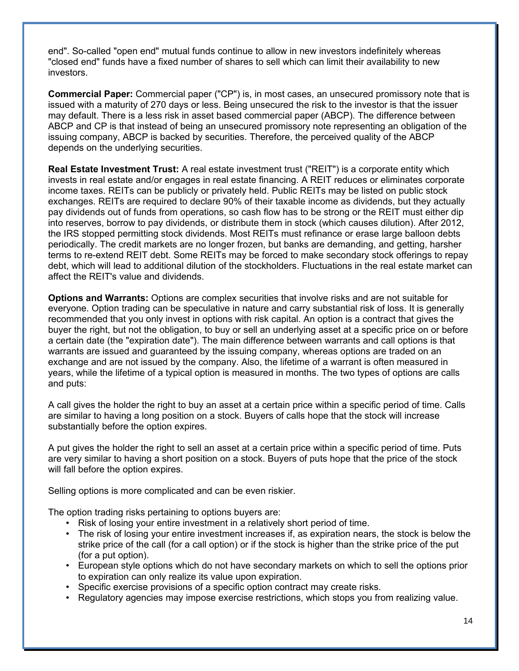end". So-called "open end" mutual funds continue to allow in new investors indefinitely whereas "closed end" funds have a fixed number of shares to sell which can limit their availability to new investors.

**Commercial Paper:** Commercial paper ("CP") is, in most cases, an unsecured promissory note that is issued with a maturity of 270 days or less. Being unsecured the risk to the investor is that the issuer may default. There is a less risk in asset based commercial paper (ABCP). The difference between ABCP and CP is that instead of being an unsecured promissory note representing an obligation of the issuing company, ABCP is backed by securities. Therefore, the perceived quality of the ABCP depends on the underlying securities.

**Real Estate Investment Trust:** A real estate investment trust ("REIT") is a corporate entity which invests in real estate and/or engages in real estate financing. A REIT reduces or eliminates corporate income taxes. REITs can be publicly or privately held. Public REITs may be listed on public stock exchanges. REITs are required to declare 90% of their taxable income as dividends, but they actually pay dividends out of funds from operations, so cash flow has to be strong or the REIT must either dip into reserves, borrow to pay dividends, or distribute them in stock (which causes dilution). After 2012, the IRS stopped permitting stock dividends. Most REITs must refinance or erase large balloon debts periodically. The credit markets are no longer frozen, but banks are demanding, and getting, harsher terms to re-extend REIT debt. Some REITs may be forced to make secondary stock offerings to repay debt, which will lead to additional dilution of the stockholders. Fluctuations in the real estate market can affect the REIT's value and dividends.

**Options and Warrants:** Options are complex securities that involve risks and are not suitable for everyone. Option trading can be speculative in nature and carry substantial risk of loss. It is generally recommended that you only invest in options with risk capital. An option is a contract that gives the buyer the right, but not the obligation, to buy or sell an underlying asset at a specific price on or before a certain date (the "expiration date"). The main difference between warrants and call options is that warrants are issued and guaranteed by the issuing company, whereas options are traded on an exchange and are not issued by the company. Also, the lifetime of a warrant is often measured in years, while the lifetime of a typical option is measured in months. The two types of options are calls and puts:

A call gives the holder the right to buy an asset at a certain price within a specific period of time. Calls are similar to having a long position on a stock. Buyers of calls hope that the stock will increase substantially before the option expires.

A put gives the holder the right to sell an asset at a certain price within a specific period of time. Puts are very similar to having a short position on a stock. Buyers of puts hope that the price of the stock will fall before the option expires.

Selling options is more complicated and can be even riskier.

The option trading risks pertaining to options buyers are:

- Risk of losing your entire investment in a relatively short period of time.
- The risk of losing your entire investment increases if, as expiration nears, the stock is below the strike price of the call (for a call option) or if the stock is higher than the strike price of the put (for a put option).
- European style options which do not have secondary markets on which to sell the options prior to expiration can only realize its value upon expiration.
- Specific exercise provisions of a specific option contract may create risks.
- Regulatory agencies may impose exercise restrictions, which stops you from realizing value.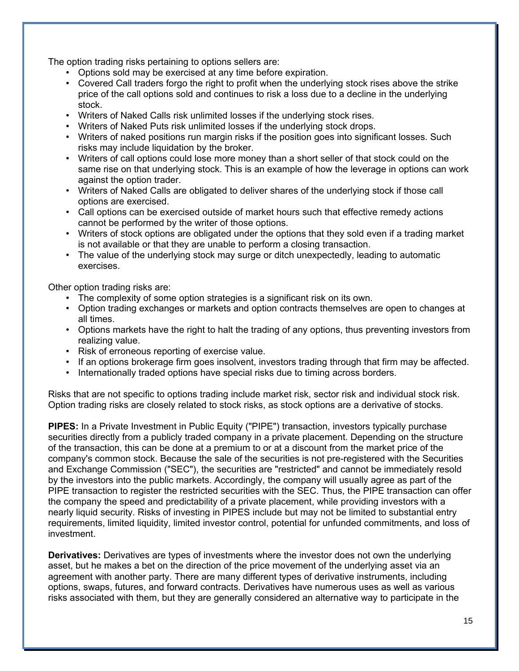The option trading risks pertaining to options sellers are:

- Options sold may be exercised at any time before expiration.
- Covered Call traders forgo the right to profit when the underlying stock rises above the strike price of the call options sold and continues to risk a loss due to a decline in the underlying stock.
- Writers of Naked Calls risk unlimited losses if the underlying stock rises.
- Writers of Naked Puts risk unlimited losses if the underlying stock drops.
- Writers of naked positions run margin risks if the position goes into significant losses. Such risks may include liquidation by the broker.
- Writers of call options could lose more money than a short seller of that stock could on the same rise on that underlying stock. This is an example of how the leverage in options can work against the option trader.
- Writers of Naked Calls are obligated to deliver shares of the underlying stock if those call options are exercised.
- Call options can be exercised outside of market hours such that effective remedy actions cannot be performed by the writer of those options.
- Writers of stock options are obligated under the options that they sold even if a trading market is not available or that they are unable to perform a closing transaction.
- The value of the underlying stock may surge or ditch unexpectedly, leading to automatic exercises.

Other option trading risks are:

- The complexity of some option strategies is a significant risk on its own.
- Option trading exchanges or markets and option contracts themselves are open to changes at all times.
- Options markets have the right to halt the trading of any options, thus preventing investors from realizing value.
- Risk of erroneous reporting of exercise value.
- If an options brokerage firm goes insolvent, investors trading through that firm may be affected.
- Internationally traded options have special risks due to timing across borders.

Risks that are not specific to options trading include market risk, sector risk and individual stock risk. Option trading risks are closely related to stock risks, as stock options are a derivative of stocks.

**PIPES:** In a Private Investment in Public Equity ("PIPE") transaction, investors typically purchase securities directly from a publicly traded company in a private placement. Depending on the structure of the transaction, this can be done at a premium to or at a discount from the market price of the company's common stock. Because the sale of the securities is not pre-registered with the Securities and Exchange Commission ("SEC"), the securities are "restricted" and cannot be immediately resold by the investors into the public markets. Accordingly, the company will usually agree as part of the PIPE transaction to register the restricted securities with the SEC. Thus, the PIPE transaction can offer the company the speed and predictability of a private placement, while providing investors with a nearly liquid security. Risks of investing in PIPES include but may not be limited to substantial entry requirements, limited liquidity, limited investor control, potential for unfunded commitments, and loss of investment.

**Derivatives:** Derivatives are types of investments where the investor does not own the underlying asset, but he makes a bet on the direction of the price movement of the underlying asset via an agreement with another party. There are many different types of derivative instruments, including options, swaps, futures, and forward contracts. Derivatives have numerous uses as well as various risks associated with them, but they are generally considered an alternative way to participate in the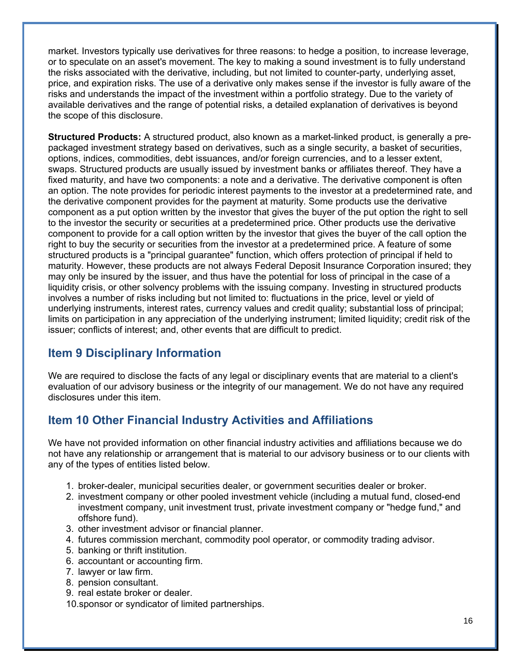market. Investors typically use derivatives for three reasons: to hedge a position, to increase leverage, or to speculate on an asset's movement. The key to making a sound investment is to fully understand the risks associated with the derivative, including, but not limited to counter-party, underlying asset, price, and expiration risks. The use of a derivative only makes sense if the investor is fully aware of the risks and understands the impact of the investment within a portfolio strategy. Due to the variety of available derivatives and the range of potential risks, a detailed explanation of derivatives is beyond the scope of this disclosure.

**Structured Products:** A structured product, also known as a market-linked product, is generally a prepackaged investment strategy based on derivatives, such as a single security, a basket of securities, options, indices, commodities, debt issuances, and/or foreign currencies, and to a lesser extent, swaps. Structured products are usually issued by investment banks or affiliates thereof. They have a fixed maturity, and have two components: a note and a derivative. The derivative component is often an option. The note provides for periodic interest payments to the investor at a predetermined rate, and the derivative component provides for the payment at maturity. Some products use the derivative component as a put option written by the investor that gives the buyer of the put option the right to sell to the investor the security or securities at a predetermined price. Other products use the derivative component to provide for a call option written by the investor that gives the buyer of the call option the right to buy the security or securities from the investor at a predetermined price. A feature of some structured products is a "principal guarantee" function, which offers protection of principal if held to maturity. However, these products are not always Federal Deposit Insurance Corporation insured; they may only be insured by the issuer, and thus have the potential for loss of principal in the case of a liquidity crisis, or other solvency problems with the issuing company. Investing in structured products involves a number of risks including but not limited to: fluctuations in the price, level or yield of underlying instruments, interest rates, currency values and credit quality; substantial loss of principal; limits on participation in any appreciation of the underlying instrument; limited liquidity; credit risk of the issuer; conflicts of interest; and, other events that are difficult to predict.

# **Item 9 Disciplinary Information**

We are required to disclose the facts of any legal or disciplinary events that are material to a client's evaluation of our advisory business or the integrity of our management. We do not have any required disclosures under this item.

# **Item 10 Other Financial Industry Activities and Affiliations**

We have not provided information on other financial industry activities and affiliations because we do not have any relationship or arrangement that is material to our advisory business or to our clients with any of the types of entities listed below.

- 1. broker-dealer, municipal securities dealer, or government securities dealer or broker.
- 2. investment company or other pooled investment vehicle (including a mutual fund, closed-end investment company, unit investment trust, private investment company or "hedge fund," and offshore fund).
- 3. other investment advisor or financial planner.
- 4. futures commission merchant, commodity pool operator, or commodity trading advisor.
- 5. banking or thrift institution.
- 6. accountant or accounting firm.
- 7. lawyer or law firm.
- 8. pension consultant.
- 9. real estate broker or dealer.
- 10.sponsor or syndicator of limited partnerships.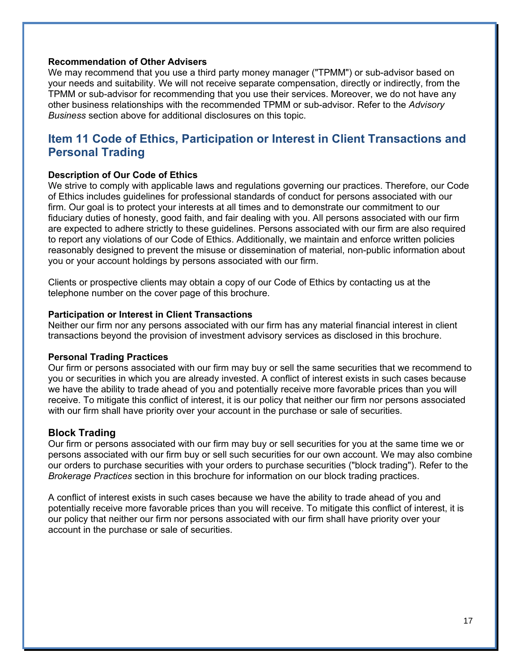### **Recommendation of Other Advisers**

We may recommend that you use a third party money manager ("TPMM") or sub-advisor based on your needs and suitability. We will not receive separate compensation, directly or indirectly, from the TPMM or sub-advisor for recommending that you use their services. Moreover, we do not have any other business relationships with the recommended TPMM or sub-advisor. Refer to the *Advisory Business* section above for additional disclosures on this topic.

# **Item 11 Code of Ethics, Participation or Interest in Client Transactions and Personal Trading**

### **Description of Our Code of Ethics**

We strive to comply with applicable laws and regulations governing our practices. Therefore, our Code of Ethics includes guidelines for professional standards of conduct for persons associated with our firm. Our goal is to protect your interests at all times and to demonstrate our commitment to our fiduciary duties of honesty, good faith, and fair dealing with you. All persons associated with our firm are expected to adhere strictly to these guidelines. Persons associated with our firm are also required to report any violations of our Code of Ethics. Additionally, we maintain and enforce written policies reasonably designed to prevent the misuse or dissemination of material, non-public information about you or your account holdings by persons associated with our firm.

Clients or prospective clients may obtain a copy of our Code of Ethics by contacting us at the telephone number on the cover page of this brochure.

### **Participation or Interest in Client Transactions**

Neither our firm nor any persons associated with our firm has any material financial interest in client transactions beyond the provision of investment advisory services as disclosed in this brochure.

### **Personal Trading Practices**

Our firm or persons associated with our firm may buy or sell the same securities that we recommend to you or securities in which you are already invested. A conflict of interest exists in such cases because we have the ability to trade ahead of you and potentially receive more favorable prices than you will receive. To mitigate this conflict of interest, it is our policy that neither our firm nor persons associated with our firm shall have priority over your account in the purchase or sale of securities.

### **Block Trading**

Our firm or persons associated with our firm may buy or sell securities for you at the same time we or persons associated with our firm buy or sell such securities for our own account. We may also combine our orders to purchase securities with your orders to purchase securities ("block trading"). Refer to the *Brokerage Practices* section in this brochure for information on our block trading practices.

A conflict of interest exists in such cases because we have the ability to trade ahead of you and potentially receive more favorable prices than you will receive. To mitigate this conflict of interest, it is our policy that neither our firm nor persons associated with our firm shall have priority over your account in the purchase or sale of securities.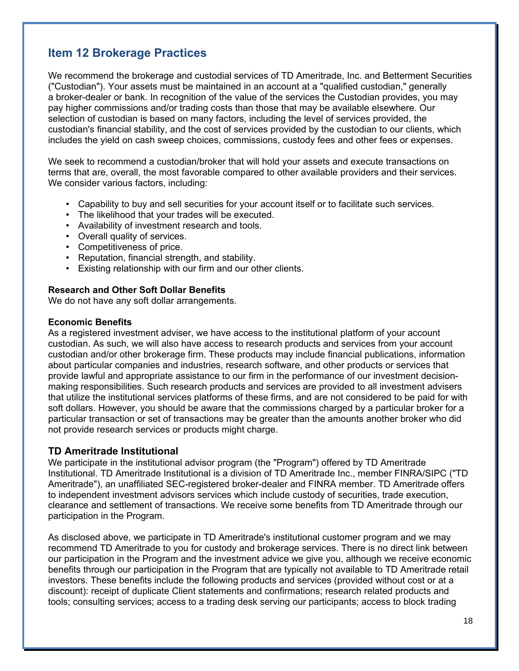# **Item 12 Brokerage Practices**

We recommend the brokerage and custodial services of TD Ameritrade, Inc. and Betterment Securities ("Custodian"). Your assets must be maintained in an account at a "qualified custodian," generally a broker-dealer or bank. In recognition of the value of the services the Custodian provides, you may pay higher commissions and/or trading costs than those that may be available elsewhere. Our selection of custodian is based on many factors, including the level of services provided, the custodian's financial stability, and the cost of services provided by the custodian to our clients, which includes the yield on cash sweep choices, commissions, custody fees and other fees or expenses.

We seek to recommend a custodian/broker that will hold your assets and execute transactions on terms that are, overall, the most favorable compared to other available providers and their services. We consider various factors, including:

- Capability to buy and sell securities for your account itself or to facilitate such services.
- The likelihood that your trades will be executed.
- Availability of investment research and tools.
- Overall quality of services.
- Competitiveness of price.
- Reputation, financial strength, and stability.
- Existing relationship with our firm and our other clients.

### **Research and Other Soft Dollar Benefits**

We do not have any soft dollar arrangements.

#### **Economic Benefits**

As a registered investment adviser, we have access to the institutional platform of your account custodian. As such, we will also have access to research products and services from your account custodian and/or other brokerage firm. These products may include financial publications, information about particular companies and industries, research software, and other products or services that provide lawful and appropriate assistance to our firm in the performance of our investment decisionmaking responsibilities. Such research products and services are provided to all investment advisers that utilize the institutional services platforms of these firms, and are not considered to be paid for with soft dollars. However, you should be aware that the commissions charged by a particular broker for a particular transaction or set of transactions may be greater than the amounts another broker who did not provide research services or products might charge.

### **TD Ameritrade Institutional**

We participate in the institutional advisor program (the "Program") offered by TD Ameritrade Institutional. TD Ameritrade Institutional is a division of TD Ameritrade Inc., member FINRA/SIPC ("TD Ameritrade"), an unaffiliated SEC-registered broker-dealer and FINRA member. TD Ameritrade offers to independent investment advisors services which include custody of securities, trade execution, clearance and settlement of transactions. We receive some benefits from TD Ameritrade through our participation in the Program.

As disclosed above, we participate in TD Ameritrade's institutional customer program and we may recommend TD Ameritrade to you for custody and brokerage services. There is no direct link between our participation in the Program and the investment advice we give you, although we receive economic benefits through our participation in the Program that are typically not available to TD Ameritrade retail investors. These benefits include the following products and services (provided without cost or at a discount): receipt of duplicate Client statements and confirmations; research related products and tools; consulting services; access to a trading desk serving our participants; access to block trading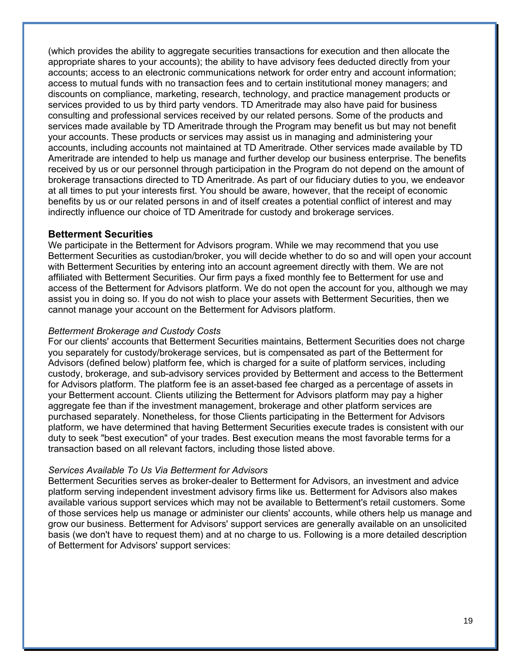(which provides the ability to aggregate securities transactions for execution and then allocate the appropriate shares to your accounts); the ability to have advisory fees deducted directly from your accounts; access to an electronic communications network for order entry and account information; access to mutual funds with no transaction fees and to certain institutional money managers; and discounts on compliance, marketing, research, technology, and practice management products or services provided to us by third party vendors. TD Ameritrade may also have paid for business consulting and professional services received by our related persons. Some of the products and services made available by TD Ameritrade through the Program may benefit us but may not benefit your accounts. These products or services may assist us in managing and administering your accounts, including accounts not maintained at TD Ameritrade. Other services made available by TD Ameritrade are intended to help us manage and further develop our business enterprise. The benefits received by us or our personnel through participation in the Program do not depend on the amount of brokerage transactions directed to TD Ameritrade. As part of our fiduciary duties to you, we endeavor at all times to put your interests first. You should be aware, however, that the receipt of economic benefits by us or our related persons in and of itself creates a potential conflict of interest and may indirectly influence our choice of TD Ameritrade for custody and brokerage services.

### **Betterment Securities**

We participate in the Betterment for Advisors program. While we may recommend that you use Betterment Securities as custodian/broker, you will decide whether to do so and will open your account with Betterment Securities by entering into an account agreement directly with them. We are not affiliated with Betterment Securities. Our firm pays a fixed monthly fee to Betterment for use and access of the Betterment for Advisors platform. We do not open the account for you, although we may assist you in doing so. If you do not wish to place your assets with Betterment Securities, then we cannot manage your account on the Betterment for Advisors platform.

### *Betterment Brokerage and Custody Costs*

For our clients' accounts that Betterment Securities maintains, Betterment Securities does not charge you separately for custody/brokerage services, but is compensated as part of the Betterment for Advisors (defined below) platform fee, which is charged for a suite of platform services, including custody, brokerage, and sub-advisory services provided by Betterment and access to the Betterment for Advisors platform. The platform fee is an asset-based fee charged as a percentage of assets in your Betterment account. Clients utilizing the Betterment for Advisors platform may pay a higher aggregate fee than if the investment management, brokerage and other platform services are purchased separately. Nonetheless, for those Clients participating in the Betterment for Advisors platform, we have determined that having Betterment Securities execute trades is consistent with our duty to seek "best execution" of your trades. Best execution means the most favorable terms for a transaction based on all relevant factors, including those listed above.

### *Services Available To Us Via Betterment for Advisors*

Betterment Securities serves as broker-dealer to Betterment for Advisors, an investment and advice platform serving independent investment advisory firms like us. Betterment for Advisors also makes available various support services which may not be available to Betterment's retail customers. Some of those services help us manage or administer our clients' accounts, while others help us manage and grow our business. Betterment for Advisors' support services are generally available on an unsolicited basis (we don't have to request them) and at no charge to us. Following is a more detailed description of Betterment for Advisors' support services: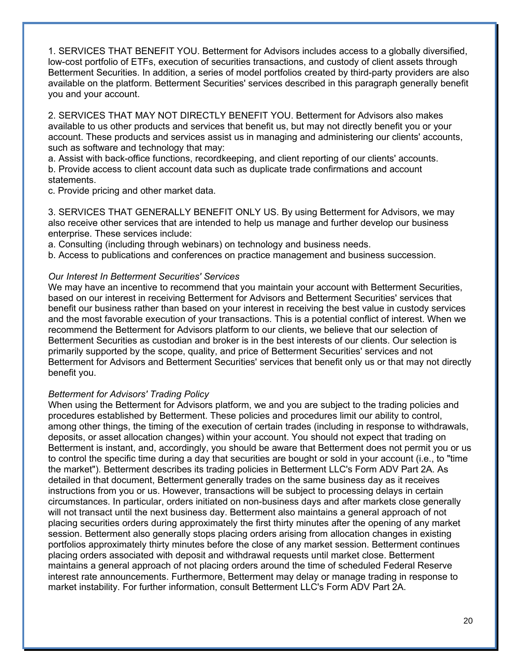1. SERVICES THAT BENEFIT YOU. Betterment for Advisors includes access to a globally diversified, low-cost portfolio of ETFs, execution of securities transactions, and custody of client assets through Betterment Securities. In addition, a series of model portfolios created by third-party providers are also available on the platform. Betterment Securities' services described in this paragraph generally benefit you and your account.

2. SERVICES THAT MAY NOT DIRECTLY BENEFIT YOU. Betterment for Advisors also makes available to us other products and services that benefit us, but may not directly benefit you or your account. These products and services assist us in managing and administering our clients' accounts, such as software and technology that may:

a. Assist with back-office functions, recordkeeping, and client reporting of our clients' accounts. b. Provide access to client account data such as duplicate trade confirmations and account statements.

c. Provide pricing and other market data.

3. SERVICES THAT GENERALLY BENEFIT ONLY US. By using Betterment for Advisors, we may also receive other services that are intended to help us manage and further develop our business enterprise. These services include:

a. Consulting (including through webinars) on technology and business needs.

b. Access to publications and conferences on practice management and business succession.

### *Our Interest In Betterment Securities' Services*

We may have an incentive to recommend that you maintain your account with Betterment Securities, based on our interest in receiving Betterment for Advisors and Betterment Securities' services that benefit our business rather than based on your interest in receiving the best value in custody services and the most favorable execution of your transactions. This is a potential conflict of interest. When we recommend the Betterment for Advisors platform to our clients, we believe that our selection of Betterment Securities as custodian and broker is in the best interests of our clients. Our selection is primarily supported by the scope, quality, and price of Betterment Securities' services and not Betterment for Advisors and Betterment Securities' services that benefit only us or that may not directly benefit you.

### *Betterment for Advisors' Trading Policy*

When using the Betterment for Advisors platform, we and you are subject to the trading policies and procedures established by Betterment. These policies and procedures limit our ability to control, among other things, the timing of the execution of certain trades (including in response to withdrawals, deposits, or asset allocation changes) within your account. You should not expect that trading on Betterment is instant, and, accordingly, you should be aware that Betterment does not permit you or us to control the specific time during a day that securities are bought or sold in your account (i.e., to "time the market"). Betterment describes its trading policies in Betterment LLC's Form ADV Part 2A. As detailed in that document, Betterment generally trades on the same business day as it receives instructions from you or us. However, transactions will be subject to processing delays in certain circumstances. In particular, orders initiated on non-business days and after markets close generally will not transact until the next business day. Betterment also maintains a general approach of not placing securities orders during approximately the first thirty minutes after the opening of any market session. Betterment also generally stops placing orders arising from allocation changes in existing portfolios approximately thirty minutes before the close of any market session. Betterment continues placing orders associated with deposit and withdrawal requests until market close. Betterment maintains a general approach of not placing orders around the time of scheduled Federal Reserve interest rate announcements. Furthermore, Betterment may delay or manage trading in response to market instability. For further information, consult Betterment LLC's Form ADV Part 2A.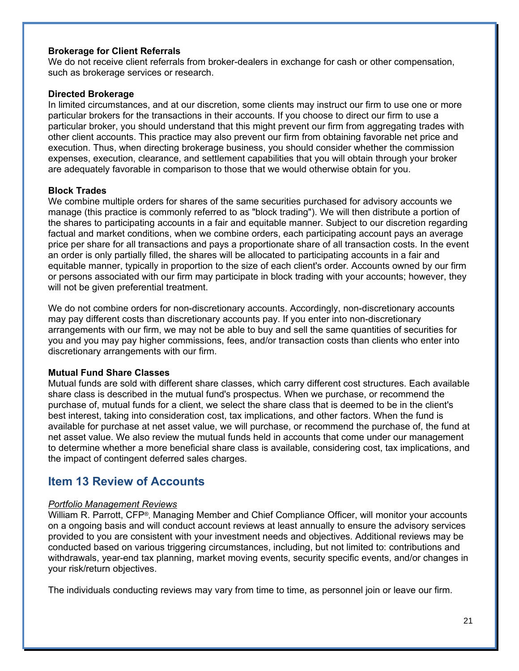### **Brokerage for Client Referrals**

We do not receive client referrals from broker-dealers in exchange for cash or other compensation, such as brokerage services or research.

### **Directed Brokerage**

In limited circumstances, and at our discretion, some clients may instruct our firm to use one or more particular brokers for the transactions in their accounts. If you choose to direct our firm to use a particular broker, you should understand that this might prevent our firm from aggregating trades with other client accounts. This practice may also prevent our firm from obtaining favorable net price and execution. Thus, when directing brokerage business, you should consider whether the commission expenses, execution, clearance, and settlement capabilities that you will obtain through your broker are adequately favorable in comparison to those that we would otherwise obtain for you.

### **Block Trades**

We combine multiple orders for shares of the same securities purchased for advisory accounts we manage (this practice is commonly referred to as "block trading"). We will then distribute a portion of the shares to participating accounts in a fair and equitable manner. Subject to our discretion regarding factual and market conditions, when we combine orders, each participating account pays an average price per share for all transactions and pays a proportionate share of all transaction costs. In the event an order is only partially filled, the shares will be allocated to participating accounts in a fair and equitable manner, typically in proportion to the size of each client's order. Accounts owned by our firm or persons associated with our firm may participate in block trading with your accounts; however, they will not be given preferential treatment.

We do not combine orders for non-discretionary accounts. Accordingly, non-discretionary accounts may pay different costs than discretionary accounts pay. If you enter into non-discretionary arrangements with our firm, we may not be able to buy and sell the same quantities of securities for you and you may pay higher commissions, fees, and/or transaction costs than clients who enter into discretionary arrangements with our firm.

### **Mutual Fund Share Classes**

Mutual funds are sold with different share classes, which carry different cost structures. Each available share class is described in the mutual fund's prospectus. When we purchase, or recommend the purchase of, mutual funds for a client, we select the share class that is deemed to be in the client's best interest, taking into consideration cost, tax implications, and other factors. When the fund is available for purchase at net asset value, we will purchase, or recommend the purchase of, the fund at net asset value. We also review the mutual funds held in accounts that come under our management to determine whether a more beneficial share class is available, considering cost, tax implications, and the impact of contingent deferred sales charges.

### **Item 13 Review of Accounts**

### *Portfolio Management Reviews*

William R. Parrott, CFP®, Managing Member and Chief Compliance Officer, will monitor your accounts on a ongoing basis and will conduct account reviews at least annually to ensure the advisory services provided to you are consistent with your investment needs and objectives. Additional reviews may be conducted based on various triggering circumstances, including, but not limited to: contributions and withdrawals, year-end tax planning, market moving events, security specific events, and/or changes in your risk/return objectives.

The individuals conducting reviews may vary from time to time, as personnel join or leave our firm.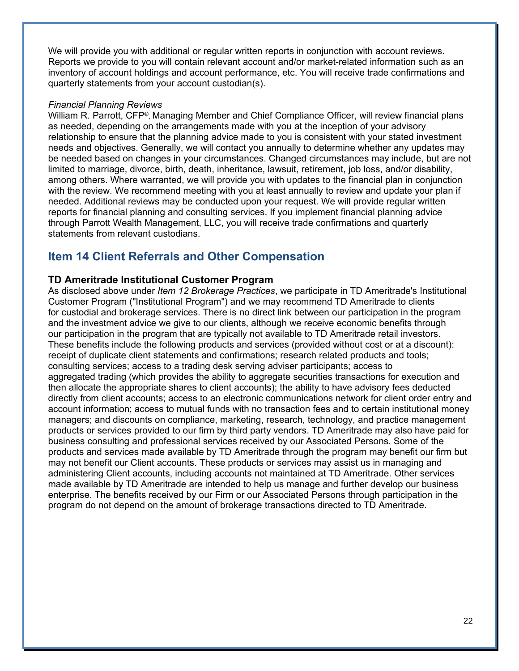We will provide you with additional or regular written reports in conjunction with account reviews. Reports we provide to you will contain relevant account and/or market-related information such as an inventory of account holdings and account performance, etc. You will receive trade confirmations and quarterly statements from your account custodian(s).

### *Financial Planning Reviews*

William R. Parrott, CFP®, Managing Member and Chief Compliance Officer, will review financial plans as needed, depending on the arrangements made with you at the inception of your advisory relationship to ensure that the planning advice made to you is consistent with your stated investment needs and objectives. Generally, we will contact you annually to determine whether any updates may be needed based on changes in your circumstances. Changed circumstances may include, but are not limited to marriage, divorce, birth, death, inheritance, lawsuit, retirement, job loss, and/or disability, among others. Where warranted, we will provide you with updates to the financial plan in conjunction with the review. We recommend meeting with you at least annually to review and update your plan if needed. Additional reviews may be conducted upon your request. We will provide regular written reports for financial planning and consulting services. If you implement financial planning advice through Parrott Wealth Management, LLC, you will receive trade confirmations and quarterly statements from relevant custodians.

### **Item 14 Client Referrals and Other Compensation**

### **TD Ameritrade Institutional Customer Program**

As disclosed above under *Item 12 Brokerage Practices*, we participate in TD Ameritrade's Institutional Customer Program ("Institutional Program") and we may recommend TD Ameritrade to clients for custodial and brokerage services. There is no direct link between our participation in the program and the investment advice we give to our clients, although we receive economic benefits through our participation in the program that are typically not available to TD Ameritrade retail investors. These benefits include the following products and services (provided without cost or at a discount): receipt of duplicate client statements and confirmations; research related products and tools; consulting services; access to a trading desk serving adviser participants; access to aggregated trading (which provides the ability to aggregate securities transactions for execution and then allocate the appropriate shares to client accounts); the ability to have advisory fees deducted directly from client accounts; access to an electronic communications network for client order entry and account information; access to mutual funds with no transaction fees and to certain institutional money managers; and discounts on compliance, marketing, research, technology, and practice management products or services provided to our firm by third party vendors. TD Ameritrade may also have paid for business consulting and professional services received by our Associated Persons. Some of the products and services made available by TD Ameritrade through the program may benefit our firm but may not benefit our Client accounts. These products or services may assist us in managing and administering Client accounts, including accounts not maintained at TD Ameritrade. Other services made available by TD Ameritrade are intended to help us manage and further develop our business enterprise. The benefits received by our Firm or our Associated Persons through participation in the program do not depend on the amount of brokerage transactions directed to TD Ameritrade.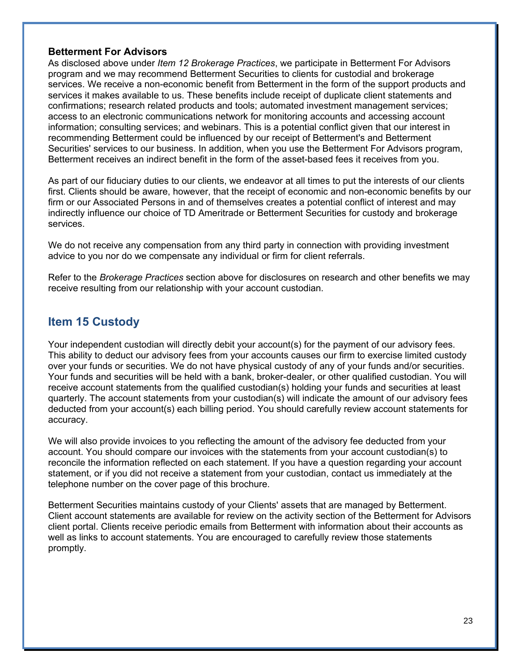### **Betterment For Advisors**

As disclosed above under *Item 12 Brokerage Practices*, we participate in Betterment For Advisors program and we may recommend Betterment Securities to clients for custodial and brokerage services. We receive a non-economic benefit from Betterment in the form of the support products and services it makes available to us. These benefits include receipt of duplicate client statements and confirmations; research related products and tools; automated investment management services; access to an electronic communications network for monitoring accounts and accessing account information; consulting services; and webinars. This is a potential conflict given that our interest in recommending Betterment could be influenced by our receipt of Betterment's and Betterment Securities' services to our business. In addition, when you use the Betterment For Advisors program, Betterment receives an indirect benefit in the form of the asset-based fees it receives from you.

As part of our fiduciary duties to our clients, we endeavor at all times to put the interests of our clients first. Clients should be aware, however, that the receipt of economic and non-economic benefits by our firm or our Associated Persons in and of themselves creates a potential conflict of interest and may indirectly influence our choice of TD Ameritrade or Betterment Securities for custody and brokerage services.

We do not receive any compensation from any third party in connection with providing investment advice to you nor do we compensate any individual or firm for client referrals.

Refer to the *Brokerage Practices* section above for disclosures on research and other benefits we may receive resulting from our relationship with your account custodian.

### **Item 15 Custody**

Your independent custodian will directly debit your account(s) for the payment of our advisory fees. This ability to deduct our advisory fees from your accounts causes our firm to exercise limited custody over your funds or securities. We do not have physical custody of any of your funds and/or securities. Your funds and securities will be held with a bank, broker-dealer, or other qualified custodian. You will receive account statements from the qualified custodian(s) holding your funds and securities at least quarterly. The account statements from your custodian(s) will indicate the amount of our advisory fees deducted from your account(s) each billing period. You should carefully review account statements for accuracy.

We will also provide invoices to you reflecting the amount of the advisory fee deducted from your account. You should compare our invoices with the statements from your account custodian(s) to reconcile the information reflected on each statement. If you have a question regarding your account statement, or if you did not receive a statement from your custodian, contact us immediately at the telephone number on the cover page of this brochure.

Betterment Securities maintains custody of your Clients' assets that are managed by Betterment. Client account statements are available for review on the activity section of the Betterment for Advisors client portal. Clients receive periodic emails from Betterment with information about their accounts as well as links to account statements. You are encouraged to carefully review those statements promptly.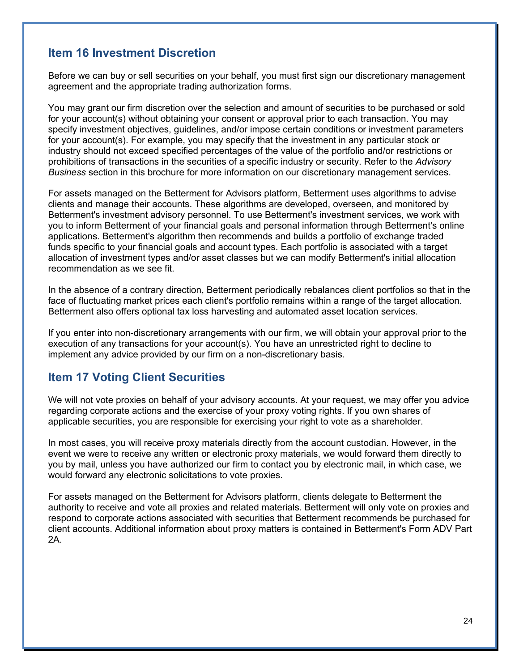# **Item 16 Investment Discretion**

Before we can buy or sell securities on your behalf, you must first sign our discretionary management agreement and the appropriate trading authorization forms.

You may grant our firm discretion over the selection and amount of securities to be purchased or sold for your account(s) without obtaining your consent or approval prior to each transaction. You may specify investment objectives, guidelines, and/or impose certain conditions or investment parameters for your account(s). For example, you may specify that the investment in any particular stock or industry should not exceed specified percentages of the value of the portfolio and/or restrictions or prohibitions of transactions in the securities of a specific industry or security. Refer to the *Advisory Business* section in this brochure for more information on our discretionary management services.

For assets managed on the Betterment for Advisors platform, Betterment uses algorithms to advise clients and manage their accounts. These algorithms are developed, overseen, and monitored by Betterment's investment advisory personnel. To use Betterment's investment services, we work with you to inform Betterment of your financial goals and personal information through Betterment's online applications. Betterment's algorithm then recommends and builds a portfolio of exchange traded funds specific to your financial goals and account types. Each portfolio is associated with a target allocation of investment types and/or asset classes but we can modify Betterment's initial allocation recommendation as we see fit.

In the absence of a contrary direction, Betterment periodically rebalances client portfolios so that in the face of fluctuating market prices each client's portfolio remains within a range of the target allocation. Betterment also offers optional tax loss harvesting and automated asset location services.

If you enter into non-discretionary arrangements with our firm, we will obtain your approval prior to the execution of any transactions for your account(s). You have an unrestricted right to decline to implement any advice provided by our firm on a non-discretionary basis.

### **Item 17 Voting Client Securities**

We will not vote proxies on behalf of your advisory accounts. At your request, we may offer you advice regarding corporate actions and the exercise of your proxy voting rights. If you own shares of applicable securities, you are responsible for exercising your right to vote as a shareholder.

In most cases, you will receive proxy materials directly from the account custodian. However, in the event we were to receive any written or electronic proxy materials, we would forward them directly to you by mail, unless you have authorized our firm to contact you by electronic mail, in which case, we would forward any electronic solicitations to vote proxies.

For assets managed on the Betterment for Advisors platform, clients delegate to Betterment the authority to receive and vote all proxies and related materials. Betterment will only vote on proxies and respond to corporate actions associated with securities that Betterment recommends be purchased for client accounts. Additional information about proxy matters is contained in Betterment's Form ADV Part 2A.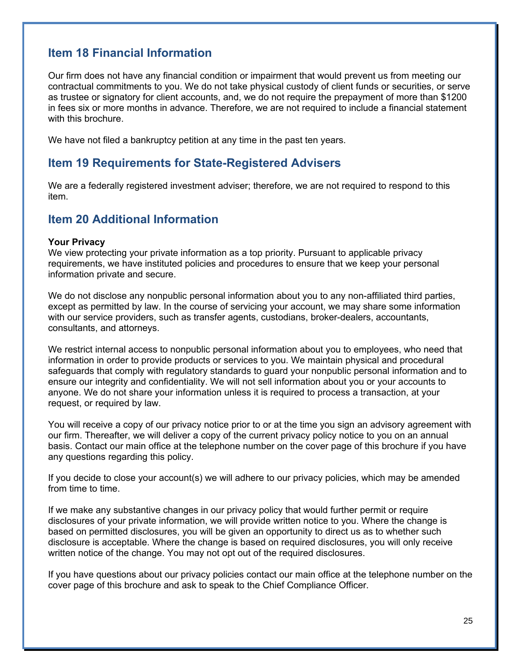# **Item 18 Financial Information**

Our firm does not have any financial condition or impairment that would prevent us from meeting our contractual commitments to you. We do not take physical custody of client funds or securities, or serve as trustee or signatory for client accounts, and, we do not require the prepayment of more than \$1200 in fees six or more months in advance. Therefore, we are not required to include a financial statement with this brochure.

We have not filed a bankruptcy petition at any time in the past ten years.

### **Item 19 Requirements for State-Registered Advisers**

We are a federally registered investment adviser; therefore, we are not required to respond to this item.

### **Item 20 Additional Information**

#### **Your Privacy**

We view protecting your private information as a top priority. Pursuant to applicable privacy requirements, we have instituted policies and procedures to ensure that we keep your personal information private and secure.

We do not disclose any nonpublic personal information about you to any non-affiliated third parties, except as permitted by law. In the course of servicing your account, we may share some information with our service providers, such as transfer agents, custodians, broker-dealers, accountants, consultants, and attorneys.

We restrict internal access to nonpublic personal information about you to employees, who need that information in order to provide products or services to you. We maintain physical and procedural safeguards that comply with regulatory standards to guard your nonpublic personal information and to ensure our integrity and confidentiality. We will not sell information about you or your accounts to anyone. We do not share your information unless it is required to process a transaction, at your request, or required by law.

You will receive a copy of our privacy notice prior to or at the time you sign an advisory agreement with our firm. Thereafter, we will deliver a copy of the current privacy policy notice to you on an annual basis. Contact our main office at the telephone number on the cover page of this brochure if you have any questions regarding this policy.

If you decide to close your account(s) we will adhere to our privacy policies, which may be amended from time to time.

If we make any substantive changes in our privacy policy that would further permit or require disclosures of your private information, we will provide written notice to you. Where the change is based on permitted disclosures, you will be given an opportunity to direct us as to whether such disclosure is acceptable. Where the change is based on required disclosures, you will only receive written notice of the change. You may not opt out of the required disclosures.

If you have questions about our privacy policies contact our main office at the telephone number on the cover page of this brochure and ask to speak to the Chief Compliance Officer.